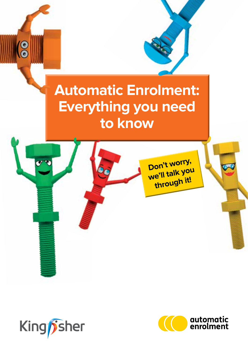## **Automatic Enrolment: Everything you need to know**

Don't worry, Don't worry through it!



 $\overline{\mathbf{e}}$ 

or v

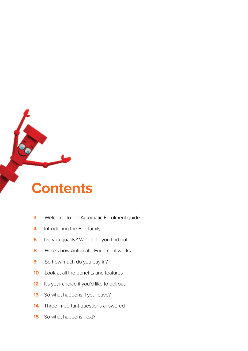### **Contents**

- Welcome to the Automatic Enrolment guide
- Introducing the Bolt family
- Do you qualify? We'll help you find out
- Here's how Automatic Enrolment works
- So how much do you pay in?
- Look at all the benefits and features
- It's your choice if you'd like to opt out
- So what happens if you leave?
- Three important questions answered
- So what happens next?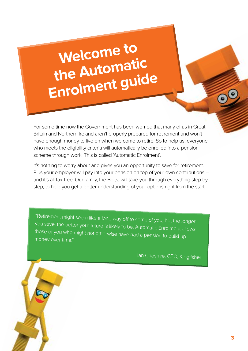## **Welcome to the Automatic Enrolment guide**

For some time now the Government has been worried that many of us in Great Britain and Northern Ireland aren't properly prepared for retirement and won't have enough money to live on when we come to retire. So to help us, everyone who meets the eligibility criteria will automatically be enrolled into a pension scheme through work. This is called 'Automatic Enrolment'.

It's nothing to worry about and gives you an opportunity to save for retirement. Plus your employer will pay into your pension on top of your own contributions – and it's all tax-free. Our family, the Bolts, will take you through everything step by step, to help you get a better understanding of your options right from the start.

"Retirement might seem like a long way off to some of you, but the longer you save, the better your future is likely to be. Automatic Enrolment allows those of you who might not otherwise have had a pension to build up money over time"

Ian Cheshire, CEO, Kingfisher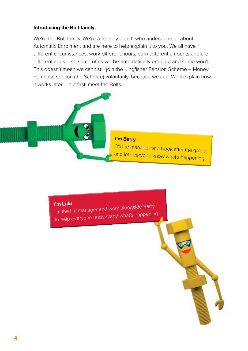### **Introducing the Bolt family**

We're the Bolt family. We're a friendly bunch who understand all about Automatic Enrolment and are here to help explain it to you. We all have different circumstances, work different hours, earn different amounts and are different ages – so some of us will be automatically enrolled and some won't. This doesn't mean we can't still join the Kingfisher Pension Scheme – Money Purchase section (the Scheme) voluntarily, because we can. We'll explain how it works later – but first, meet the Bolts.



### I'm Barry

I'm the manager and Hook after the group and let everyone know what's happening.

**I'm Lulu**  I'm the HR manager and work alongside Barry to help everyone understand what's happening.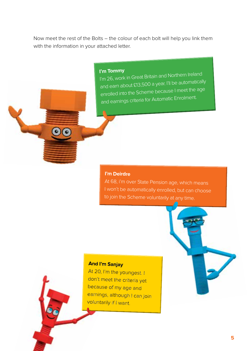Now meet the rest of the Bolts – the colour of each bolt will help you link them with the information in your attached letter.

**I'm Tommy** I'm 26, work in Great Britain and Northern Ireland and earn about £13,500 a year. I'll be automatically enrolled into the Scheme because I meet the age and earnings criteria for Automatic Enrolment.

#### **I'm Deirdre**

At 68, i'm over State Pension age, which means to join the Scheme voluntarily at any time.

### **And I'm Sanjay**

At 20, I'm the youngest. I don't meet the criteria yet because of my age and earnings, although I can join voluntarily if I want.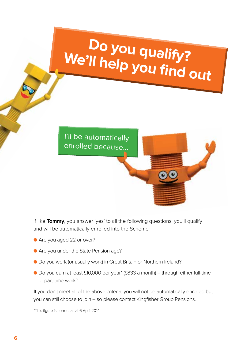## **Do you qualify? We'll help you find out**

I'll be automatically enrolled because…

If like **Tommy**, you answer 'yes' to all the following questions, you'll qualify and will be automatically enrolled into the Scheme.

- Are you aged 22 or over?
- **Are you under the State Pension age?**
- l Do you work (or usually work) in Great Britain or Northern Ireland?
- l Do you earn at least £10,000 per year\* (£833 a month) through either full-time or part-time work?

If you don't meet all of the above criteria, you will not be automatically enrolled but you can still choose to join – so please contact Kingfisher Group Pensions.

\*This figure is correct as at 6 April 2014.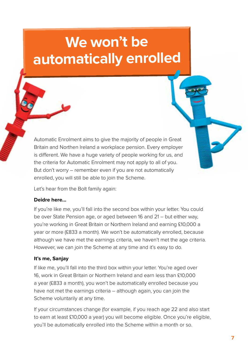## **We won't be automatically enrolled**

Automatic Enrolment aims to give the majority of people in Great Britain and Northen Ireland a workplace pension. Every employer is different. We have a huge variety of people working for us, and the criteria for Automatic Enrolment may not apply to all of you. But don't worry – remember even if you are not automatically enrolled, you will still be able to join the Scheme.

Let's hear from the Bolt family again:

### **Deidre here...**

If you're like me, you'll fall into the second box within your letter. You could be over State Pension age, or aged between 16 and 21 – but either way, you're working in Great Britain or Northern Ireland and earning £10,000 a year or more (£833 a month). We won't be automatically enrolled, because although we have met the earnings criteria, we haven't met the age criteria. However, we can join the Scheme at any time and it's easy to do.

### **It's me, Sanjay**

If like me, you'll fall into the third box within your letter. You're aged over 16, work in Great Britain or Northern Ireland and earn less than £10,000 a year (£833 a month), you won't be automatically enrolled because you have not met the earnings criteria – although again, you can join the Scheme voluntarily at any time.

If your circumstances change (for example, if you reach age 22 and also start to earn at least £10,000 a year) you will become eligible. Once you're eligible, you'll be automatically enrolled into the Scheme within a month or so.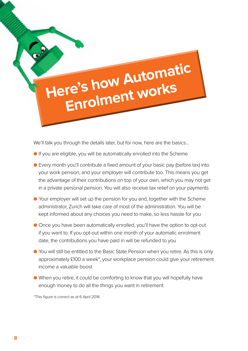# **Here's how Automatic Enrolment works**

We'll talk you through the details later, but for now, here are the basics...

- **If you are eligible, you will be automatically enrolled into the Scheme**
- Every month you'll contribute a fixed amount of your basic pay (before tax) into your work pension, and your employer will contribute too. This means you get the advantage of their contributions on top of your own, which you may not get in a private personal pension. You will also receive tax relief on your payments
- l Your employer will set up the pension for you and, together with the Scheme administrator, Zurich will take care of most of the administration. You will be kept informed about any choices you need to make, so less hassle for you
- **Once you have been automatically enrolled, you'll have the option to opt-out** if you want to. If you opt-out within one month of your automatic enrolment date, the contributions you have paid in will be refunded to you
- l You will still be entitled to the Basic State Pension when you retire. As this is only approximately £100 a week\*, your workplace pension could give your retirement income a valuable boost
- l When you retire, it could be comforting to know that you will hopefully have enough money to do all the things you want in retirement

\*This figure is correct as at 6 April 2014.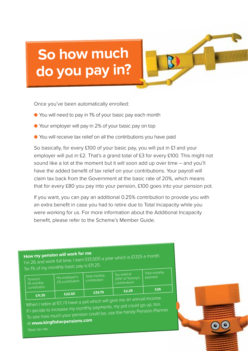## **So how much do you pay in?**

Once you've been automatically enrolled:

- l You will need to pay in 1% of your basic pay each month
- l Your employer will pay in 2% of your basic pay on top
- l You will receive tax relief on all the contributions you have paid

So basically, for every £100 of your basic pay, you will put in £1 and your employer will put in £2. That's a grand total of £3 for every £100. This might not sound like a lot at the moment but it will soon add up over time – and you'll have the added benefit of tax relief on your contributions. Your payroll will claim tax back from the Government at the basic rate of 20%, which means that for every £80 you pay into your pension, £100 goes into your pension pot.

If you want, you can pay an additional 0.25% contribution to provide you with an extra benefit in case you had to retire due to Total Incapacity while you were working for us. For more information about the Additional Incapacity benefit, please refer to the Scheme's Member Guide.

### **How my pension will work for me**

I'm 26 and work full time. I earn £13,500 a year which is £1,125 a month. So 1% of my monthly basic pay is £11.25.

| Tommy's<br>1% monthly<br>contribution | His employer's<br>2% contribution | Total monthly<br>contribution | Tax relief at<br>20%* of Tommy's<br>contributions | Total monthly<br>payment |
|---------------------------------------|-----------------------------------|-------------------------------|---------------------------------------------------|--------------------------|
|                                       |                                   | £33.75                        | £2.25                                             | £36                      |
| £11,25                                | £22.50                            |                               |                                                   |                          |

When I retire at 67, I'll have a pot which will give me an annual income.<br>When I retire at 67, I'll have a pot which will give my pot could go up, too. If I decide to increase my monthly payments, my pot could go up, too. To see how much your pension could be, use the handy Pension Planner at **www.kingfisherpensions.com**

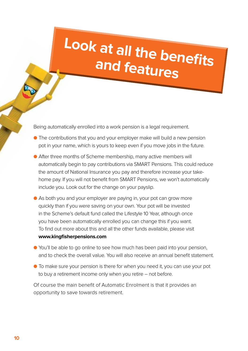## **Look at all the benefits and features**

Being automatically enrolled into a work pension is a legal requirement.

- **•** The contributions that you and your employer make will build a new pension pot in your name, which is yours to keep even if you move jobs in the future.
- After three months of Scheme membership, many active members will automatically begin to pay contributions via SMART Pensions. This could reduce the amount of National Insurance you pay and therefore increase your takehome pay. If you will not benefit from SMART Pensions, we won't automatically include you. Look out for the change on your payslip.
- As both you and your employer are paying in, your pot can grow more quickly than if you were saving on your own. Your pot will be invested in the Scheme's default fund called the Lifestyle 10 Year, although once you have been automatically enrolled you can change this if you want. To find out more about this and all the other funds available, please visit **www.kingfisherpensions.com**
- l You'll be able to go online to see how much has been paid into your pension, and to check the overall value. You will also receive an annual benefit statement.
- l To make sure your pension is there for when you need it, you can use your pot to buy a retirement income only when you retire – not before.

Of course the main benefit of Automatic Enrolment is that it provides an opportunity to save towards retirement.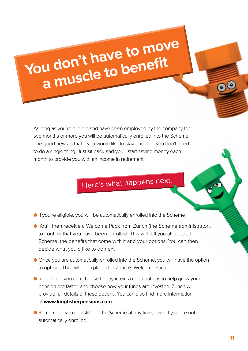# You don't have to move **a muscle to benefit**

As long as you're eligible and have been employed by the company for two months or more you will be automatically enrolled into the Scheme. The good news is that if you would like to stay enrolled, you don't need to do a single thing. Just sit back and you'll start saving money each month to provide you with an income in retirement.

### Here's what happens next…

- $\bullet$  If you're eligible, you will be automatically enrolled into the Scheme
- l You'll then receive a Welcome Pack from Zurich (the Scheme administrator), to confirm that you have been enrolled. This will tell you all about the Scheme, the benefits that come with it and your options. You can then decide what you'd like to do next
- **Once you are automatically enrolled into the Scheme, you will have the option** to opt-out. This will be explained in Zurich's Welcome Pack
- **•** In addition, you can choose to pay in extra contributions to help grow your pension pot faster, and choose how your funds are invested. Zurich will provide full details of these options. You can also find more information at **www.kingfisherpensions.com**
- Remember, you can still join the Scheme at any time, even if you are not automatically enrolled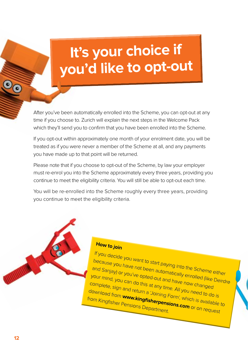## **It's your choice if you'd like to opt-out**

After you've been automatically enrolled into the Scheme, you can opt-out at any time if you choose to. Zurich will explain the next steps in the Welcome Pack which they'll send you to confirm that you have been enrolled into the Scheme.

If you opt-out within approximately one month of your enrolment date, you will be treated as if you were never a member of the Scheme at all, and any payments you have made up to that point will be returned.

Please note that if you choose to opt-out of the Scheme, by law your employer must re-enrol you into the Scheme approximately every three years, providing you continue to meet the eligibility criteria. You will still be able to opt-out each time.

You will be re-enrolled into the Scheme roughly every three years, providing you continue to meet the eligibility criteria.



### How to join

If you decide you want to start paying into the Scheme either<br>because you have not been automatically encheme either<br>and Sanjay) or you've opted out automatically enrolled time to <sup>1</sup> Surfaecide you want to start paying into the Scheme either<br>and Sanjay) or you've opted-out and have notled (like Deirdre<br>four mind, you can do this at any the now changed (like Deirdre<br>complete site of this at any the and Sanjay) or you're not been automatically enrolled (like I<br>Your mind, you can do this at any time. All you changed<br>Complete, sign and refurn a up time. All you hanged Find Sanjay) or you've offer automatically enrolled (like De<br>Complete, sign and return a significant paye now changed<br>Complete, sign and return a 'Joining, All you need to do is<br>download from www.kingfist. Freed-out and have now changed like Deirding Complete, sign and return a 'Joining Form', which is available to<br>download from www.kingfisherpensions. All you need to do is<br>from Kingfisher Pensions Departmentions.com or on r diany time. All you need to do is<br>download from **www.kingfisherpensions.com** or on request<br>from Kingfisher Pensions Department. from Kingfisher Pensions Department.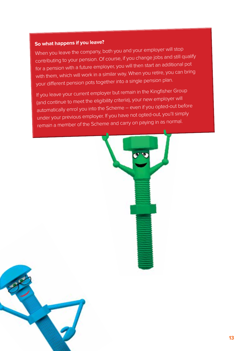### **So what happens if you leave?**

When you leave the company, both you and your employer will stop contributing to your pension. Of course, if you change jobs and still qualify for a pension with a future employer, you will then start an additional pot with them, which will work in a similar way. When you retire, you can bring your different pension pots together into a single pension plan.

If you leave your current employer but remain in the Kingfisher Group (and continue to meet the eligibility criteria), your new employer will automatically enrol you into the Scheme – even if you opted-out before under your previous employer. If you have not opted-out, you'll simply remain a member of the Scheme and carry on paying in as normal.

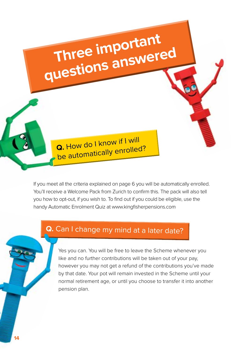Q. How do I know if I will **Q.** How do I know in a lead?

**Three important** 

**questions answered**

If you meet all the criteria explained on page 6 you will be automatically enrolled. You'll receive a Welcome Pack from Zurich to confirm this. The pack will also tell you how to opt-out, if you wish to. To find out if you could be eligible, use the handy Automatic Enrolment Quiz at www.kingfisherpensions.com

### **Q.** Can I change my mind at a later date?

Yes you can. You will be free to leave the Scheme whenever you like and no further contributions will be taken out of your pay, however you may not get a refund of the contributions you've made by that date. Your pot will remain invested in the Scheme until your normal retirement age, or until you choose to transfer it into another pension plan.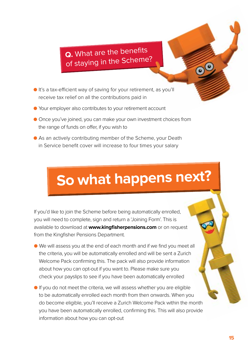**Q.** What are the benefits of staying in the Scheme?

- It's a tax-efficient way of saving for your retirement, as you'll receive tax relief on all the contributions paid in
- l Your employer also contributes to your retirement account
- l Once you've joined, you can make your own investment choices from the range of funds on offer, if you wish to
- l As an actively contributing member of the Scheme, your Death in Service benefit cover will increase to four times your salary

## **So what happens next?**

If you'd like to join the Scheme before being automatically enrolled, you will need to complete, sign and return a 'Joining Form'. This is available to download at **www.kingfisherpensions.com** or on request from the Kingfisher Pensions Department.

- l We will assess you at the end of each month and if we find you meet all the criteria, you will be automatically enrolled and will be sent a Zurich Welcome Pack confirming this. The pack will also provide information about how you can opt-out if you want to. Please make sure you check your payslips to see if you have been automatically enrolled
- $\bullet$  If you do not meet the criteria, we will assess whether you are eligible to be automatically enrolled each month from then onwards. When you do become eligible, you'll receive a Zurich Welcome Pack within the month you have been automatically enrolled, confirming this. This will also provide information about how you can opt-out